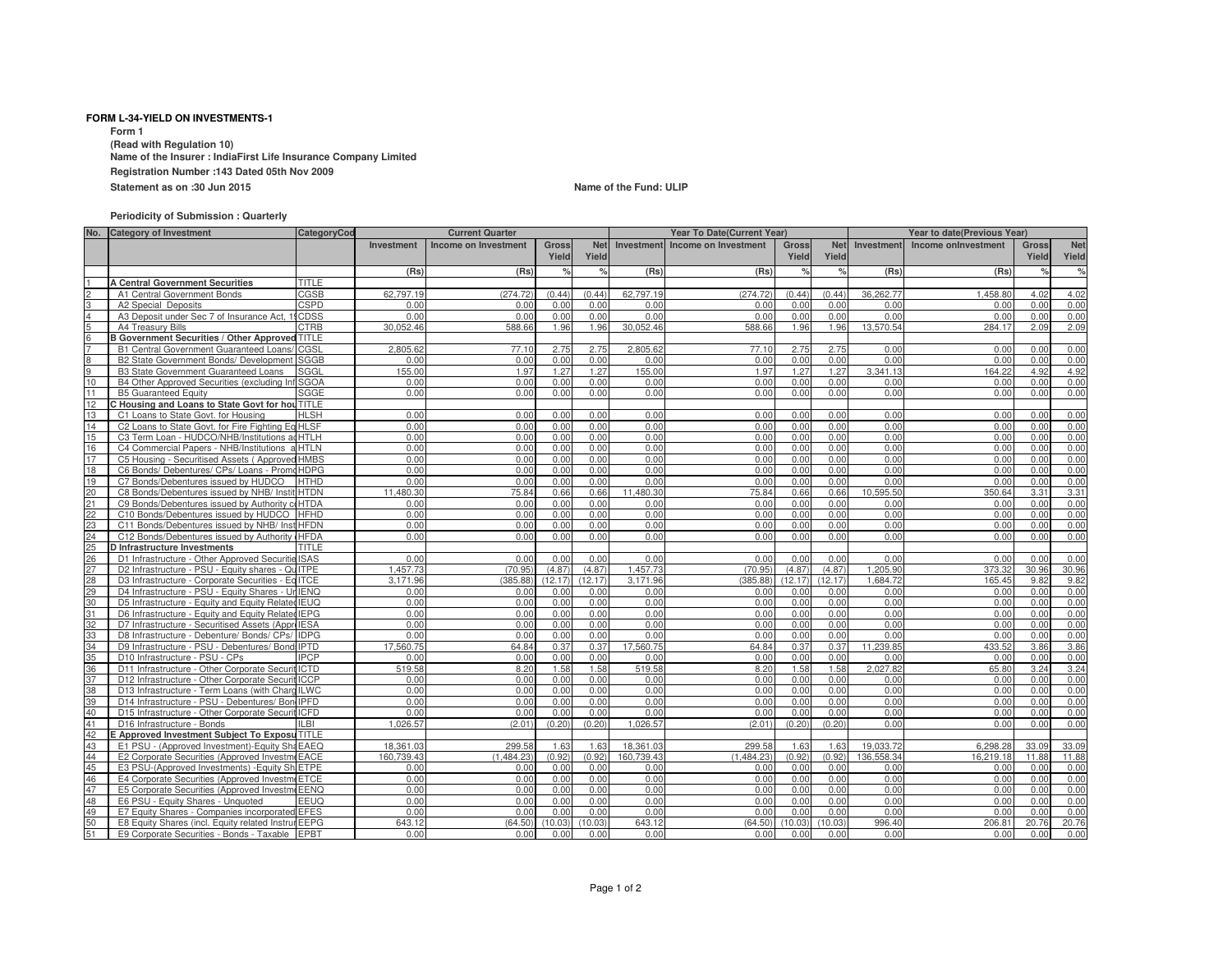## **FORM L-34-YIELD ON INVESTMENTS-1**

**Form 1 (Read with Regulation 10) Name of the Insurer : IndiaFirst Life Insurance Company LimitedRegistration Number :143 Dated 05th Nov 2009**

**Statement as on :30 Jun 2015**

## **Name of the Fund: ULIP**

## **Periodicity of Submission : Quarterly**

|              | No. Category of Investment                                                                  | CategoryCod |                   | <b>Current Quarter</b> |                       |                     | Year To Date(Current Year) | Year to date(Previous Year) |                       |                     |              |                     |                       |                     |
|--------------|---------------------------------------------------------------------------------------------|-------------|-------------------|------------------------|-----------------------|---------------------|----------------------------|-----------------------------|-----------------------|---------------------|--------------|---------------------|-----------------------|---------------------|
|              |                                                                                             |             | <b>Investment</b> | Income on Investment   | <b>Gross</b><br>Yield | <b>Net</b><br>Yield | Investment                 | Income on Investment        | <b>Gross</b><br>Yield | <b>Net</b><br>Yield | Investment   | Income onlnvestment | <b>Gross</b><br>Yield | <b>Net</b><br>Yield |
|              |                                                                                             |             | (Rs)              | (Rs)                   | $\frac{1}{\alpha}$    | %                   | (Rs)                       | (Rs)                        | $\%$                  | $\frac{1}{6}$       | (Rs)         | (Rs)                | $\frac{1}{2}$         | $\%$                |
|              | <b>A Central Government Securities</b>                                                      | TITLE       |                   |                        |                       |                     |                            |                             |                       |                     |              |                     |                       |                     |
|              | A1 Central Government Bonds                                                                 | CGSB        | 62.797.19         | (274.72)               | (0.44)                | (0.44)              | 62.797.19                  | (274.72)                    | (0.44)                | (0.44)              | 36.262.77    | 1.458.80            | 4.02                  | 4.02                |
|              | A2 Special Deposits                                                                         | CSPD        | 0.00              | 0.00                   | 0.00                  | 0.00                | 0.00                       | 0.00                        | 0.00                  | 0.00                | 0.00         | 0.00                | 0.00                  | 0.00                |
|              | A3 Deposit under Sec 7 of Insurance Act, 19CDSS                                             |             | 0.00              | 0.00                   | 0.00                  | 0.00                | 0.00                       | 0.00                        | 0.00                  | 0.00                | 0.00         | 0.00                | 0.00                  | 0.00                |
|              | A4 Treasury Bills                                                                           | <b>CTRB</b> | 30.052.46         | 588.66                 | 1.96                  | 1.96                | 30.052.46                  | 588.66                      | 1.96                  | 1.96                | 13,570.54    | 284.17              | 2.09                  | 2.09                |
| <sup>6</sup> | <b>B Government Securities / Other Approved TITLE</b>                                       |             |                   |                        |                       |                     |                            |                             |                       |                     |              |                     |                       |                     |
|              | B1 Central Government Guaranteed Loans/ CGSL                                                |             | 2.805.62          | 77.10                  | 2.75                  | 2.75                | 2.805.62                   | 77.10                       | 2.75                  | 2.75                | 0.00         | 0.00                | 0.00                  | 0.00                |
| R            | B2 State Government Bonds/ Development                                                      | SGGB        | 0.00              | 0.00                   | 0.00                  | 0.00                | 0.00                       | 0.00                        | 0.00                  | 0.00                | 0.00         | 0.00                | 0.00                  | 0.00                |
|              | <b>B3 State Government Guaranteed Loans</b>                                                 | SGGL        | 155.00            | 1.97                   | 1.27                  | 1.27                | 155.00                     | 1.97                        | 1.27                  | 1.27                | 3.341.13     | 164.22              | 4.92                  | 4.92                |
| 10           | B4 Other Approved Securities (excluding Inf SGOA                                            |             | 0.00              | 0.00                   | 0.00                  | 0.00                | 0.00                       | 0.00                        | 0.00                  | 0.00                | 0.00         | 0.00                | 0.00                  | 0.00                |
| 11           | <b>B5 Guaranteed Equity</b>                                                                 | SGGE        | 0.00              | 0.00                   | 0.00                  | 0.00                | 0.00                       | 0.00                        | 0.00                  | 0.00                | 0.00         | 0.00                | 0.00                  | 0.00                |
| 12           | C Housing and Loans to State Govt for hou TITLE                                             |             |                   |                        |                       |                     |                            |                             |                       |                     |              |                     |                       |                     |
| 13           | C1 Loans to State Govt, for Housing                                                         | <b>HLSH</b> | 0.00              | 0.00                   | 0.00                  | 0.00                | 0.00                       | 0.00                        | 0.00                  | 0.00                | 0.00         | 0.00                | 0.00                  | 0.00                |
| 14           | C2 Loans to State Govt. for Fire Fighting Eq HLSF                                           |             | 0.00              | 0.00                   | 0.00                  | 0.00                | 0.00                       | 0.00                        | 0.00                  | 0.00                | 0.00         | 0.00                | 0.00                  | 0.00                |
| 15           | C3 Term Loan - HUDCO/NHB/Institutions ad HTLH                                               |             | 0.00              | 0.00                   | 0.00                  | 0.00                | 0.00                       | 0.00                        | 0.00                  | 0.00                | 0.00         | 0.00                | 0.00                  | 0.00                |
| 16<br>17     | C4 Commercial Papers - NHB/Institutions a HTLN                                              |             | 0.00<br>0.00      | 0.00                   | 0.00                  | 0.00                | 0.00                       | 0.00                        | 0.00<br>0.00          | 0.00                | 0.00         | 0.00                | 0.00<br>0.00          | 0.00                |
|              | C5 Housing - Securitised Assets (Approved HMBS                                              |             |                   | 0.00                   | 0.00                  | 0.00                | 0.00                       | 0.00                        |                       | 0.00                | 0.00         | 0.00                |                       | 0.00                |
| 18           | C6 Bonds/ Debentures/ CPs/ Loans - PromcHDPG                                                |             | 0.00              | 0.00                   | 0.00                  | 0.00                | 0.00                       | 0.00                        | 0.00<br>0.00          | 0.00<br>0.00        | 0.00<br>0.00 | 0.00                | 0.00<br>0.00          | 0.00                |
| 19           | C7 Bonds/Debentures issued by HUDCO                                                         | <b>HTHD</b> | 0.00<br>11.480.30 | 0.00                   | 0.00<br>0.66          | 0.00<br>0.66        | 0.00<br>11.480.30          | 0.00                        | 0.66                  | 0.66                | 10.595.50    | 0.00<br>350.64      | 3.31                  | 0.00<br>3.31        |
| 20<br>21     | C8 Bonds/Debentures issued by NHB/ Instit HTDN                                              |             | 0.00              | 75.84<br>0.00          | 0.00                  | 0.00                | 0.00                       | 75.84<br>0.00               | 0.00                  | 0.00                | 0.00         | 0.00                | 0.00                  | 0.00                |
| 22           | C9 Bonds/Debentures issued by Authority coHTDA<br>C10 Bonds/Debentures issued by HUDCO HFHD |             | 0.00              | 0.00                   | 0.00                  | 0.00                | 0.00                       | 0.00                        | 0.00                  | 0.00                | 0.00         | 0.00                | 0.00                  | 0.00                |
| 23           | C11 Bonds/Debentures issued by NHB/ Inst HFDN                                               |             | 0.00              | 0.00                   | 0.00                  | 0.00                | 0.00                       | 0.00                        | 0.00                  | 0.00                | 0.00         | 0.00                | 0.00                  | 0.00                |
| 24           | C12 Bonds/Debentures issued by Authority (HFDA                                              |             | 0.00              | 0.00                   | 0.00                  | 0.00                | 0.00                       | 0.00                        | 0.00                  | 0.00                | 0.00         | 0.00                | 0.00                  | 0.00                |
| 25           | D Infrastructure Investments                                                                | TITLE       |                   |                        |                       |                     |                            |                             |                       |                     |              |                     |                       |                     |
| 26           | D1 Infrastructure - Other Approved Securitie ISAS                                           |             | 0.00              | 0.00                   | 0.00                  | 0.00                | 0.00                       | 0.00                        | 0.00                  | 0.00                | 0.00         | 0.00                | 0.00                  | 0.00                |
| 27           | D2 Infrastructure - PSU - Equity shares - QuITPE                                            |             | 1.457.73          | (70.95)                | (4.87)                | (4.87)              | 1.457.73                   | (70.95)                     | (4.87)                | (4.87)              | 1.205.90     | 373.32              | 30.96                 | 30.96               |
| 28           | D3 Infrastructure - Corporate Securities - Ed ITCE                                          |             | 3.171.96          | (385.88)               | 12.17                 | 12.17               | 3.171.96                   | (385.88)                    | (12.17)               | (12.17)             | 1.684.72     | 165.45              | 9.82                  | 9.82                |
| 29           | D4 Infrastructure - PSU - Equity Shares - Ur IENQ                                           |             | 0.00              | 0.00                   | 0.00                  | 0.00                | 0.00                       | 0.00                        | 0.00                  | 0.00                | 0.00         | 0.00                | 0.00                  | 0.00                |
| 30           | D5 Infrastructure - Equity and Equity Related IEUQ                                          |             | 0.00              | 0.00                   | 0.00                  | 0.00                | 0.00                       | 0.00                        | 0.00                  | 0.00                | 0.00         | 0.00                | 0.00                  | 0.00                |
| 31           | D6 Infrastructure - Equity and Equity Related IEPG                                          |             | 0.00              | 0.00                   | 0.00                  | 0.00                | 0.00                       | 0.00                        | 0.00                  | 0.00                | 0.00         | 0.00                | 0.00                  | 0.00                |
| 32           | D7 Infrastructure - Securitised Assets (Appre IESA                                          |             | 0.00              | 0.00                   | 0.00                  | 0.00                | 0.00                       | 0.00                        | 0.00                  | 0.00                | 0.00         | 0.00                | 0.00                  | 0.00                |
| 33           | D8 Infrastructure - Debenture/ Bonds/ CPs/ IDPG                                             |             | 0.00              | 0.00                   | 0.00                  | 0.00                | 0.00                       | 0.00                        | 0.00                  | 0.00                | 0.00         | 0.00                | 0.00                  | 0.00                |
| 34           | D9 Infrastructure - PSU - Debentures/ Bond: IPTD                                            |             | 17,560.75         | 64.84                  | 0.37                  | 0.37                | 17,560.75                  | 64.84                       | 0.37                  | 0.37                | 11.239.85    | 433.52              | 3.86                  | 3.86                |
| 35           | D10 Infrastructure - PSU - CPs                                                              | <b>IPCP</b> | 0.00              | 0.00                   | 0.00                  | 0.00                | 0.00                       | 0.00                        | 0.00                  | 0.00                | 0.00         | 0.00                | 0.00                  | 0.00                |
| 36           | D11 Infrastructure - Other Corporate Securit ICTD                                           |             | 519.58            | 8.20                   | 1.58                  | 1.58                | 519.58                     | 8.20                        | 1.58                  | 1.58                | 2.027.82     | 65.80               | 3.24                  | 3.24                |
| 37           | D12 Infrastructure - Other Corporate Securit ICCP                                           |             | 0.00              | 0.00                   | 0.00                  | 0.00                | 0.00                       | 0.00                        | 0.00                  | 0.00                | 0.00         | 0.00                | 0.00                  | 0.00                |
| 38           | D13 Infrastructure - Term Loans (with CharolLWC                                             |             | 0.00              | 0.00                   | 0.00                  | 0.00                | 0.00                       | 0.00                        | 0.00                  | 0.00                | 0.00         | 0.00                | 0.00                  | 0.00                |
| 39           | D14 Infrastructure - PSU - Debentures/ Bon IPFD                                             |             | 0.00              | 0.00                   | 0.00                  | 0.00                | 0.00                       | 0.00                        | 0.00                  | 0.00                | 0.00         | 0.00                | 0.00                  | 0.00                |
| 40           | D15 Infrastructure - Other Corporate Securit ICFD                                           |             | 0.00              | 0.00                   | 0.00                  | 0.00                | 0.00                       | 0.00                        | 0.00                  | 0.00                | 0.00         | 0.00                | 0.00                  | 0.00                |
| 41           | D16 Infrastructure - Bonds                                                                  | ILBI.       | 1.026.57          | (2.01)                 | (0.20)                | (0.20)              | 1.026.57                   | (2.01)                      | (0.20)                | (0.20)              | 0.00         | 0.00                | 0.00                  | 0.00                |
| 42           | E Approved Investment Subject To Exposu TITLE                                               |             |                   |                        |                       |                     |                            |                             |                       |                     |              |                     |                       |                     |
| 43           | E1 PSU - (Approved Investment)-Equity Sha EAEQ                                              |             | 18,361.03         | 299.58                 | 1.63                  | 1.63                | 18,361.03                  | 299.58                      | 1.63                  | 1.63                | 19,033.72    | 6,298.28            | 33.09                 | 33.09               |
| 44           | E2 Corporate Securities (Approved InvestmeEACE                                              |             | 160.739.43        | (1.484.23)             | (0.92)                | (0.92)              | 160.739.43                 | (1.484.23)                  | (0.92)                | (0.92)              | 136,558,34   | 16.219.18           | 11.88                 | 11.88               |
| 45           | E3 PSU-(Approved Investments) - Equity Sh ETPE                                              |             | 0.00              | 0.00                   | 0.00                  | 0.00                | 0.00                       | 0.00                        | 0.00                  | 0.00                | 0.00         | 0.00                | 0.00                  | 0.00                |
| 46           | E4 Corporate Securities (Approved InvestmeETCE                                              |             | 0.00              | 0.00                   | 0.00                  | 0.00                | 0.00                       | 0.00                        | 0.00                  | 0.00                | 0.00         | 0.00                | 0.00                  | 0.00                |
| 47           | E5 Corporate Securities (Approved InvestmeEENQ                                              |             | 0.00              | 0.00                   | 0.00                  | 0.00                | 0.00                       | 0.00                        | 0.00                  | 0.00                | 0.00         | 0.00                | 0.00                  | 0.00                |
| 48           | E6 PSU - Equity Shares - Unquoted                                                           | EEUQ        | 0.00              | 0.00                   | 0.00                  | 0.00                | 0.00                       | 0.00                        | 0.00                  | 0.00                | 0.00         | 0.00                | 0.00                  | 0.00                |
| 49           | E7 Equity Shares - Companies incorporated EFES                                              |             | 0.00              | 0.00                   | 0.00                  | 0.00                | 0.00                       | 0.00                        | 0.00                  | 0.00                | 0.00         | 0.00                | 0.00                  | 0.00                |
| 50           | E8 Equity Shares (incl. Equity related InstrureEEPG                                         |             | 643.12            | (64.50)                | 10.03                 | (10.03)             | 643.12                     | (64.50)                     | (10.03)               | (10.03)             | 996.40       | 206.81              | 20.76                 | 20.76               |
| 51           | E9 Corporate Securities - Bonds - Taxable EPBT                                              |             | 0.00              | 0.00                   | 0.00                  | 0.00                | 0.00                       | 0.00                        | 0.00                  | 0.00                | 0.00         | 0.00                | 0.00                  | 0.00                |